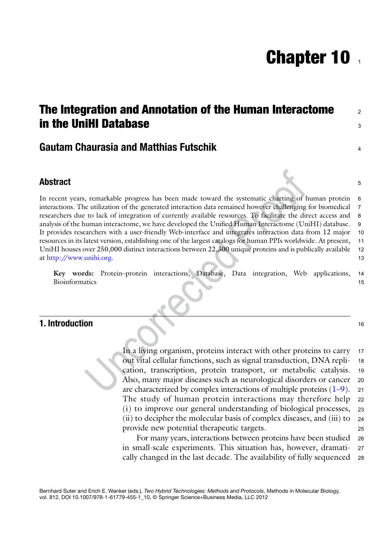# **Chapter 10**

16

 $\mathfrak{D}$  $\mathbf{3}$ 

 $\overline{A}$ 

 $\sqrt{2}$ 

## **The Integration and Annotation of the Human Interactome in the UniHI Database**

### **Gautam Chaurasia and Matthias Futschik**

### **Abstract**

1<br>2<br>3<br>4<br>5<br>6<br>7<br>8<br>9 In recent years, remarkable progress has been made toward the systematic charting of human protein 6 interactions. The utilization of the generated interaction data remained however challenging for biomedical  $\overline{7}$ researchers due to lack of integration of currently available resources. To facilitate the direct access and  $\mathbf{8}$ analysis of the human interactome, we have developed the Unified Human Interactome (UniHI) database. 9 It provides researchers with a user-friendly Web-interface and integrates interaction data from 12 major 10 resources in its latest version, establishing one of the largest catalogs for human PPIs worldwide. At present, 11 UniHI houses over 250,000 distinct interactions between 22,300 unique proteins and is publically available 12 13 at http://www.unihi.org *.*

**Key words:** Protein–protein interactions, Database, Data integration, Web applications, Bioinformatics 14 15

### **1. Introduction**

In a living organism, proteins interact with other proteins to carry out vital cellular functions, such as signal transduction, DNA replication, transcription, protein transport, or metabolic catalysis. Also, many major diseases such as neurological disorders or cancer are characterized by complex interactions of multiple proteins [\(1–9\)](#page-10-0). The study of human protein interactions may therefore help (i) to improve our general understanding of biological processes, (ii) to decipher the molecular basis of complex diseases, and (iii) to provide new potential therapeutic targets. 17 18 19 20 21 22 23 24  $25$ 

For many years, interactions between proteins have been studied in small-scale experiments. This situation has, however, dramatically changed in the last decade. The availability of fully sequenced 26 27 28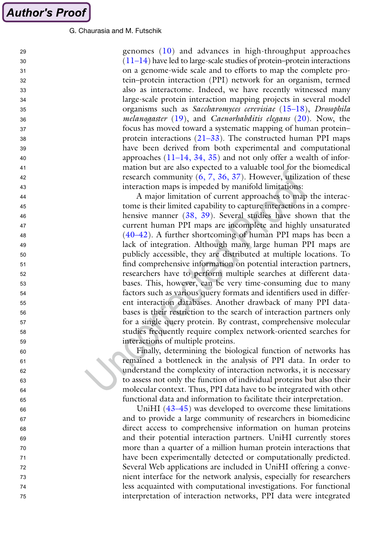G. Chaurasia and M. Futschik

[genome](#page-10-0)s ([10](#page-10-0)) and advances in high-throughput approaches ([11–14](#page-10-0)) have led to large-scale studies of protein–protein interactions on a genome-wide scale and to efforts to map the complete protein–protein interaction (PPI) network for an organism, termed also as interactome. Indeed, we have recently witnessed many large-scale protein interaction mapping projects in several model organisms such as *Saccharomyces cerevisiae* ([15–18](#page-10-0)), *Drosophila melanogaster* ([19\)](#page-11-0), and *Caenorhabditis elegans* ([20\)](#page-11-0). Now, the focus has moved toward a systematic mapping of human protein– protein interactions  $(21-33)$  $(21-33)$  $(21-33)$ . The constructed human PPI maps have been derived from both experimental and computational approaches  $(11-14, 34, 35)$  $(11-14, 34, 35)$  $(11-14, 34, 35)$  and not only offer a wealth of information but are also expected to a valuable tool for the biomedical research community  $(6, 7, 36, 37)$  $(6, 7, 36, 37)$ . However, utilization of these interaction maps is impeded by manifold limitations:

A major limitation of current approaches to map the interactome is their limited capability to capture interactions in a comprehensive manner [\(38, 39\)](#page-12-0). Several studies have shown that the [current](#page-12-0) human PPI maps are incomplete and highly unsaturated ([40–42\)](#page-12-0). A further shortcoming of human PPI maps has been a lack of integration. Although many large human PPI maps are publicly accessible, they are distributed at multiple locations. To find comprehensive information on potential interaction partners, researchers have to perform multiple searches at different databases. This, however, can be very time-consuming due to many factors such as various query formats and identifiers used in different interaction databases. Another drawback of many PPI databases is their restriction to the search of interaction partners only for a single query protein. By contrast, comprehensive molecular studies frequently require complex network-oriented searches for interactions of multiple proteins.

Finally, determining the biological function of networks has remained a bottleneck in the analysis of PPI data. In order to understand the complexity of interaction networks, it is necessary to assess not only the function of individual proteins but also their molecular context. Thus, PPI data have to be integrated with other functional data and information to facilitate their interpretation.

UniHI [\(43–45\)](#page-12-0) was developed to overcome these limitations and to provide a large community of researchers in biomedicine direct access to comprehensive information on human proteins and their potential interaction partners. UniHI currently stores more than a quarter of a million human protein interactions that have been experimentally detected or computationally predicted. Several Web applications are included in UniHI offering a convenient interface for the network analysis, especially for researchers less acquainted with computational investigations. For functional interpretation of interaction networks, PPI data were integrated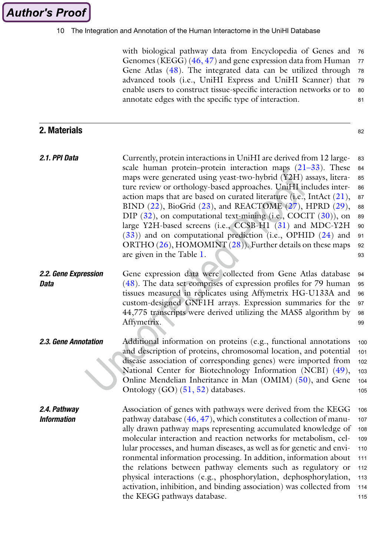

10 The Integration and Annotation of the Human Interactome in the UniHI Database

with biological pathway data from Encyclopedia of Genes and Genomes (KEGG) [\(46, 47\)](#page-12-0) and gene expression data from Human Gene Atlas [\(48\)](#page-12-0). The integrated data can be utilized through advanced tools (i.e., UniHI Express and UniHI Scanner) that 79 enable users to construct tissue-specific interaction networks or to annotate edges with the specific type of interaction. 76 77 78 80 81

82

### **2. Materials**

| 2.1. PPI Data                       | Currently, protein interactions in UniHI are derived from 12 large-<br>scale human protein-protein interaction maps $(21-33)$ . These<br>maps were generated using yeast-two-hybrid (Y2H) assays, litera-<br>ture review or orthology-based approaches. UniHI includes inter-<br>action maps that are based on curated literature (i.e., IntAct $(21)$ ,<br>BIND $(22)$ , BioGrid $(23)$ , and REACTOME $(27)$ , HPRD $(29)$ ,<br>DIP $(32)$ , on computational text-mining (i.e., COCIT $(30)$ ), on<br>large Y2H-based screens (i.e., CCSB-H1 (31) and MDC-Y2H<br>$(33)$ ) and on computational prediction (i.e., OPHID $(24)$ ) and<br>ORTHO $(26)$ , HOMOMINT $(28)$ ). Further details on these maps<br>are given in the Table 1. | 83<br>84<br>85<br>86<br>87<br>88<br>89<br>90<br>91<br>92<br>93     |
|-------------------------------------|----------------------------------------------------------------------------------------------------------------------------------------------------------------------------------------------------------------------------------------------------------------------------------------------------------------------------------------------------------------------------------------------------------------------------------------------------------------------------------------------------------------------------------------------------------------------------------------------------------------------------------------------------------------------------------------------------------------------------------------|--------------------------------------------------------------------|
| 2.2. Gene Expression<br><b>Data</b> | Gene expression data were collected from Gene Atlas database<br>$(48)$ . The data set comprises of expression profiles for 79 human<br>tissues measured in replicates using Affymetrix HG-U133A and<br>custom-designed GNF1H arrays. Expression summaries for the<br>44,775 transcripts were derived utilizing the MAS5 algorithm by<br>Affymetrix.                                                                                                                                                                                                                                                                                                                                                                                    | 94<br>95<br>96<br>97<br>98<br>99                                   |
| 2.3. Gene Annotation                | Additional information on proteins (e.g., functional annotations<br>and description of proteins, chromosomal location, and potential<br>disease association of corresponding genes) were imported from<br>National Center for Biotechnology Information (NCBI) (49),<br>Online Mendelian Inheritance in Man (OMIM) (50), and Gene<br>Ontology (GO) (51, 52) databases.                                                                                                                                                                                                                                                                                                                                                                 | 100<br>101<br>102<br>103<br>104<br>105                             |
| 2.4. Pathway<br><b>Information</b>  | Association of genes with pathways were derived from the KEGG<br>pathway database (46, 47), which constitutes a collection of manu-<br>ally drawn pathway maps representing accumulated knowledge of<br>molecular interaction and reaction networks for metabolism, cel-<br>lular processes, and human diseases, as well as for genetic and envi-<br>ronmental information processing. In addition, information about<br>the relations between pathway elements such as regulatory or<br>physical interactions (e.g., phosphorylation, dephosphorylation,<br>activation, inhibition, and binding association) was collected from<br>the KEGG pathways database.                                                                        | 106<br>107<br>108<br>109<br>110<br>111<br>112<br>113<br>114<br>115 |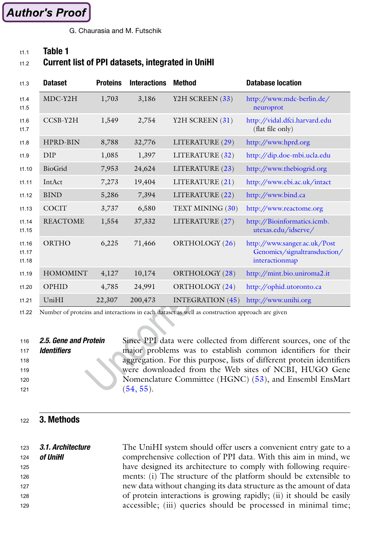G. Chaurasia and M. Futschik

#### <span id="page-3-0"></span>**Table 1**  t1.1

#### **Current list of PPI datasets, integrated in UniHI** t1.2

| t1.3                    | <b>Dataset</b>  | <b>Proteins</b> | <b>Interactions</b> | Method                  | <b>Database location</b>                                                       |
|-------------------------|-----------------|-----------------|---------------------|-------------------------|--------------------------------------------------------------------------------|
| t1.4<br>t1.5            | $MDC-Y2H$       | 1,703           | 3,186               | Y2H SCREEN (33)         | http://www.mdc-berlin.de/<br>neuroprot                                         |
| t1.6<br>t1.7            | $CCSB-Y2H$      | 1,549           | 2,754               | Y2H SCREEN (31)         | http://vidal.dfci.harvard.edu<br>(flat file only)                              |
| t1.8                    | <b>HPRD-BIN</b> | 8,788           | 32,776              | LITERATURE (29)         | http://www.hprd.org                                                            |
| t1.9                    | <b>DIP</b>      | 1,085           | 1,397               | LITERATURE (32)         | http://dip.doe-mbi.ucla.edu                                                    |
| t1.10                   | <b>BioGrid</b>  | 7,953           | 24,624              | LITERATURE (23)         | http://www.thebiogrid.org                                                      |
| t1.11                   | IntAct          | 7,273           | 19,404              | LITERATURE (21)         | http://www.ebi.ac.uk/intact                                                    |
| t1.12                   | <b>BIND</b>     | 5,286           | 7,394               | LITERATURE (22)         | http://www.bind.ca                                                             |
| t1.13                   | <b>COCIT</b>    | 3,737           | 6,580               | TEXT MINING (30)        | http://www.reactome.org                                                        |
| t1.14<br>t1.15          | <b>REACTOME</b> | 1,554           | 37,332              | LITERATURE (27)         | http://Bioinformatics.icmb.<br>utexas.edu/idserve/                             |
| t1.16<br>t1.17<br>t1.18 | <b>ORTHO</b>    | 6,225           | 71,466              | ORTHOLOGY (26)          | http://www.sanger.ac.uk/Post<br>Genomics/signaltransduction/<br>interactionmap |
| t1.19                   | <b>HOMOMINT</b> | 4,127           | 10,174              | ORTHOLOGY (28)          | http://mint.bio.uniroma2.it                                                    |
| t1.20                   | <b>OPHID</b>    | 4,785           | 24,991              | ORTHOLOGY (24)          | http://ophid.utoronto.ca                                                       |
| t1.21                   | UniHI           | 22,307          | 200,473             | <b>INTEGRATION (45)</b> | http://www.unihi.org                                                           |

Number of proteins and interactions in each dataset as well as construction approach are given t1.22

*2.5. Gene and Protein Identifiers* 116 117 118 119 120 121

Since PPI data were collected from different sources, one of the major problems was to establish common identifiers for their aggregation. For this purpose, lists of different protein identifiers were downloaded from the Web sites of NCBI, HUGO Gene Nomenclature Committee (HGNC) [\(53\)](#page-13-0), and Ensembl EnsMart  $(54, 55)$  $(54, 55)$  $(54, 55)$ .

#### **3. Methods** 122

|     | 123 3.1. Architecture | The UniHI system should offer users a convenient entry gate to a     |
|-----|-----------------------|----------------------------------------------------------------------|
| 124 | of UniHl              | comprehensive collection of PPI data. With this aim in mind, we      |
| 125 |                       | have designed its architecture to comply with following require-     |
| 126 |                       | ments: (i) The structure of the platform should be extensible to     |
| 127 |                       | new data without changing its data structure as the amount of data   |
| 128 |                       | of protein interactions is growing rapidly; (ii) it should be easily |
| 129 |                       | accessible; (iii) queries should be processed in minimal time;       |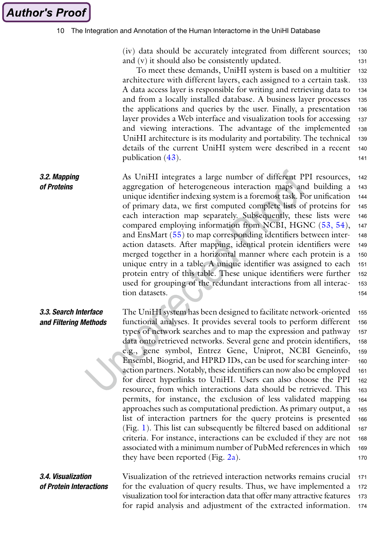10 The Integration and Annotation of the Human Interactome in the UniHI Database

(iv) data should be accurately integrated from different sources; and (v) it should also be consistently updated. 130 131

To meet these demands, UniHI system is based on a multitier architecture with different layers, each assigned to a certain task. A data access layer is responsible for writing and retrieving data to and from a locally installed database. A business layer processes the applications and queries by the user. Finally, a presentation layer provides a Web interface and visualization tools for accessing and viewing interactions. The advantage of the implemented UniHI architecture is its modularity and portability. The technical details of the current UniHI system were described in a recent publication  $(43)$  $(43)$ . 132 133 134 135 136 137 138 139 140 141

As UniHI integrates a large number of different PPI resources, aggregation of heterogeneous interaction maps and building a unique identifier indexing system is a foremost task. For unification of primary data, we first computed complete lists of proteins for each interaction map separately. Subsequently, these lists were compared employing information from NCBI, HGNC [\(53, 54\)](#page-13-0), and EnsMart  $(55)$  $(55)$  to map corresponding identifiers between interaction datasets. After mapping, identical protein identifiers were merged together in a horizontal manner where each protein is a unique entry in a table. A unique identifier was assigned to each protein entry of this table. These unique identifiers were further used for grouping of the redundant interactions from all interaction datasets. *3.2. Mapping of Proteins* 142 143 144 145 146 147 148 149 150 151 152 153 154

The UniHI system has been designed to facilitate network-oriented functional analyses. It provides several tools to perform different types of network searches and to map the expression and pathway data onto retrieved networks. Several gene and protein identifiers, e.g., gene symbol, Entrez Gene, Uniprot, NCBI Geneinfo, Ensembl, Biogrid, and HPRD IDs, can be used for searching interaction partners. Notably, these identifiers can now also be employed for direct hyperlinks to UniHI. Users can also choose the PPI resource, from which interactions data should be retrieved. This permits, for instance, the exclusion of less validated mapping approaches such as computational prediction. As primary output, a list of interaction partners for the query proteins is presented (Fig. [1](#page-5-0)). This list can subsequently be filtered based on additional criteria. For instance, interactions can be excluded if they are not associated with a minimum number of PubMed references in which they have been reported (Fig. [2a\)](#page-5-0). *3.3. Search Interface and Filtering Methods* 155 156 157 158 159 160 161 162 163 164 165 166 167 168 169 170

*3.4. Visualization of Protein Interactions* Visualization of the retrieved interaction networks remains crucial for the evaluation of query results. Thus, we have implemented a visualization tool for interaction data that offer many attractive features for rapid analysis and adjustment of the extracted information. 171 172 173 174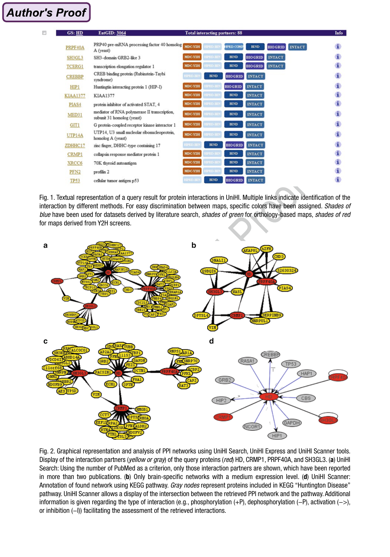<span id="page-5-0"></span>

| B | GS: HD           | <b>EntGID: 3064</b>                                                        |                 | <b>Total interacting partners: 88</b> |                  |                |                |               | <b>Info</b>  |
|---|------------------|----------------------------------------------------------------------------|-----------------|---------------------------------------|------------------|----------------|----------------|---------------|--------------|
|   | PRPF40A          | PRP40 pre-mRNA processing factor 40 homolog<br>A (yeast)                   | MDC-Y2H         | <b>HPRD-BIN</b>                       | <b>IFRD</b> COMP | <b>BIND</b>    | <b>BIOGRID</b> | <b>INTACT</b> | $\mathbf i$  |
|   | SH3GL3           | SH3-domain GRB2-like 3                                                     | MDC-Y2H         | <b>HPRD-HIN</b>                       | <b>BIND</b>      | <b>BIOGRID</b> | <b>INTACT</b>  |               | i            |
|   | <b>TCERG1</b>    | transcription elongation regulator 1                                       | MDC-Y2H         | <b>HPRD-BIN</b>                       | <b>BIND</b>      | <b>BIOGRID</b> | <b>INTACT</b>  |               | $\mathbf i$  |
|   | <b>CREBBP</b>    | CREB binding protein (Rubinstein-Taybi<br>syndrome)                        | <b>HPRD-BIN</b> | <b>BIND</b>                           | <b>BIOGRID</b>   | <b>INTACT</b>  |                |               | i            |
|   | HIP1             | Huntingtin interacting protein 1 (HIP-I)                                   | MDC-Y2H         | <b>TPRD-BIN</b>                       | <b>BIOGRID</b>   | <b>INTACT</b>  |                |               | î            |
|   | <b>KIAA1377</b>  | <b>KIAA1377</b>                                                            | MDC-Y2H         | <b>IPRD-BIN</b>                       | <b>BIND</b>      | <b>INTACT</b>  |                |               | $\mathbf i$  |
|   | PIAS4            | protein inhibitor of activated STAT, 4                                     | MDC-Y2H         | <b>HPRD-BIN</b>                       | <b>BIND</b>      | <b>INTACT</b>  |                |               | î            |
|   | MED31            | mediator of RNA polymerase II transcription,<br>subunit 31 homolog (yeast) | MDC-Y2H         | <b>HPRD-HIN</b>                       | <b>BIND</b>      | <b>INTACT</b>  |                |               | $\mathbf{i}$ |
|   | GIT1             | G protein-coupled receptor kinase interactor 1                             | MDC-Y2H         | <b>TPRD-BIN</b>                       | <b>BIND</b>      | <b>INTACT</b>  |                |               | î            |
|   | UTP14A           | UTP14. U3 small nucleolar ribonucleoprotein.<br>homolog A (yeast)          | MDC-Y2H         | <b>IPRD-BIN</b>                       | <b>BIND</b>      | <b>INTACT</b>  |                |               | $\mathbf i$  |
|   | ZDHHC17          | zinc finger, DHHC-type containing 17                                       | <b>HPRD-BIN</b> | <b>BIND</b>                           | <b>BIOGRID</b>   | <b>INTACT</b>  |                |               | i            |
|   | CRMP1            | collapsin response mediator protein 1                                      | MDC-Y2H         | <b>IPRD-BIN</b>                       | <b>BIND</b>      | <b>INTACT</b>  |                |               | $\mathbf i$  |
|   | XRCC6            | 70K thyroid autoantigen                                                    | MDC-Y2H         | <b>IPRD BIN</b>                       | <b>BIND</b>      | <b>INTACT</b>  |                |               | i            |
|   | PFN <sub>2</sub> | profilin 2                                                                 | MDC-Y2H         | <b>TPRD-BIN</b>                       | <b>BIND</b>      | <b>INTACT</b>  |                |               | i            |
|   | <b>TP53</b>      | cellular tumor antigen p53                                                 | HPRD-BH         | <b>BIND</b>                           | <b>BIOGRID</b>   | <b>INTACT</b>  |                |               |              |

Fig. 1. Textual representation of a query result for protein interactions in UniHI. Multiple links indicate identification of the interaction by different methods. For easy discrimination between maps, specific colors have been assigned. Shades of blue have been used for datasets derived by literature search, shades of green for orthology-based maps, shades of red for maps derived from Y2H screens.



Fig. 2. Graphical representation and analysis of PPI networks using UniHI Search, UniHI Express and UniHI Scanner tools. Display of the interaction partners (yellow or gray) of the query proteins (red) HD, CRMP1, PRPF40A, and SH3GL3. (**a**) UniHI Search: Using the number of PubMed as a criterion, only those interaction partners are shown, which have been reported in more than two publications. (**b**) Only brain-specific networks with a medium expression level. (**d**) UniHI Scanner: Annotation of found network using KEGG pathway. Gray nodes represent proteins included in KEGG "Huntington Disease" pathway. UniHI Scanner allows a display of the intersection between the retrieved PPI network and the pathway. Additional information is given regarding the type of interaction (e.g., phosphorylation (+P), dephosphorylation (−P), activation (−>), or inhibition (−l)) facilitating the assessment of the retrieved interactions.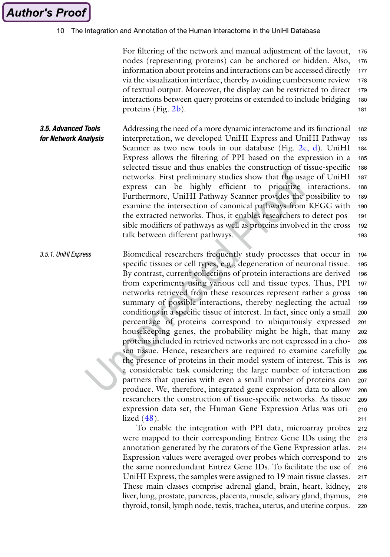10 The Integration and Annotation of the Human Interactome in the UniHI Database

For filtering of the network and manual adjustment of the layout, nodes (representing proteins) can be anchored or hidden. Also, information about proteins and interactions can be accessed directly via the visualization interface, thereby avoiding cumbersome review of textual output. Moreover, the display can be restricted to direct interactions between query proteins or extended to include bridging proteins (Fig. [2b](#page-5-0)). 175 176 177 178 179 180 181

Addressing the need of a more dynamic interactome and its functional interpretation, we developed UniHI Express and UniHI Pathway Scanner as two new tools in our database (Fig.  $2c$ , d). UniHI Express allows the filtering of PPI based on the expression in a selected tissue and thus enables the construction of tissue-specific networks. First preliminary studies show that the usage of UniHI express can be highly efficient to prioritize interactions. Furthermore, UniHI Pathway Scanner provides the possibility to examine the intersection of canonical pathways from KEGG with the extracted networks. Thus, it enables researchers to detect possible modifiers of pathways as well as proteins involved in the cross talk between different pathways. *3.5. Advanced Tools for Network Analysis* 182 183 184 185 186 187 188 189 190 191 192 193

Biomedical researchers frequently study processes that occur in specific tissues or cell types, e.g., degeneration of neuronal tissue. By contrast, current collections of protein interactions are derived from experiments using various cell and tissue types. Thus, PPI networks retrieved from these resources represent rather a gross summary of possible interactions, thereby neglecting the actual conditions in a specific tissue of interest. In fact, since only a small percentage of proteins correspond to ubiquitously expressed housekeeping genes, the probability might be high, that many proteins included in retrieved networks are not expressed in a chosen tissue. Hence, researchers are required to examine carefully the presence of proteins in their model system of interest. This is a considerable task considering the large number of interaction partners that queries with even a small number of proteins can produce. We, therefore, integrated gene expression data to allow researchers the construction of tissue-specific networks. As tissue expression data set, the Human Gene Expression Atlas was utilized  $(48)$  $(48)$ . 3.5.1. UniHI Express 194 195 196 197 198 199 200 201 202 203 204 205 206 207 208 209 210 211

> To enable the integration with PPI data, microarray probes were mapped to their corresponding Entrez Gene IDs using the annotation generated by the curators of the Gene Expression atlas. Expression values were averaged over probes which correspond to the same nonredundant Entrez Gene IDs. To facilitate the use of UniHI Express, the samples were assigned to 19 main tissue classes. These main classes comprise adrenal gland, brain, heart, kidney, liver, lung, prostate, pancreas, placenta, muscle, salivary gland, thymus, thyroid, tonsil, lymph node, testis, trachea, uterus, and uterine corpus. 212 213 214 215 216 217 218 219 220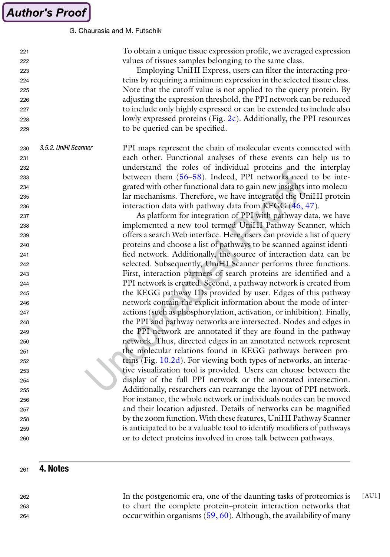G. Chaurasia and M. Futschik

To obtain a unique tissue expression profile, we averaged expression values of tissues samples belonging to the same class.

Employing UniHI Express, users can filter the interacting proteins by requiring a minimum expression in the selected tissue class. Note that the cutoff value is not applied to the query protein. By adjusting the expression threshold, the PPI network can be reduced to include only highly expressed or can be extended to include also lowly expressed proteins (Fig. [2c](#page-5-0)). Additionally, the PPI resources to be queried can be specified.

PPI maps represent the chain of molecular events connected with each other. Functional analyses of these events can help us to understand the roles of individual proteins and the interplay between them [\(56–58\)](#page-13-0). Indeed, PPI networks need to be integrated with other functional data to gain new insights into molecular mechanisms. Therefore, we have integrated the UniHI protein interaction data with pathway data from KEGG ([46, 47](#page-12-0)). 3.5.2. UniHI Scanner 230 231 232 233 234 235 236 237

As platform for integration of PPI with pathway data, we have implemented a new tool termed UniHI Pathway Scanner, which offers a search Web interface. Here, users can provide a list of query proteins and choose a list of pathways to be scanned against identified network. Additionally, the source of interaction data can be selected. Subsequently, UniHI Scanner performs three functions. First, interaction partners of search proteins are identified and a PPI network is created. Second, a pathway network is created from the KEGG pathway IDs provided by user. Edges of this pathway network contain the explicit information about the mode of interactions (such as phosphorylation, activation, or inhibition). Finally, the PPI and pathway networks are intersected. Nodes and edges in the PPI network are annotated if they are found in the pathway network. Thus, directed edges in an annotated network represent the molecular relations found in KEGG pathways between proteins (Fig. [10.2d](#page-5-0)). For viewing both types of networks, an interactive visualization tool is provided. Users can choose between the display of the full PPI network or the annotated intersection. Additionally, researchers can rearrange the layout of PPI network. For instance, the whole network or individuals nodes can be moved and their location adjusted. Details of networks can be magnified by the zoom function. With these features, UniHI Pathway Scanner is anticipated to be a valuable tool to identify modifiers of pathways or to detect proteins involved in cross talk between pathways.

#### **4. Notes** 261

In the postgenomic era, one of the daunting tasks of proteomics is to chart the complete protein–protein interaction networks that occur within organisms [\(59, 60\)](#page-13-0). Although, the availability of many [AU1] 262 263 264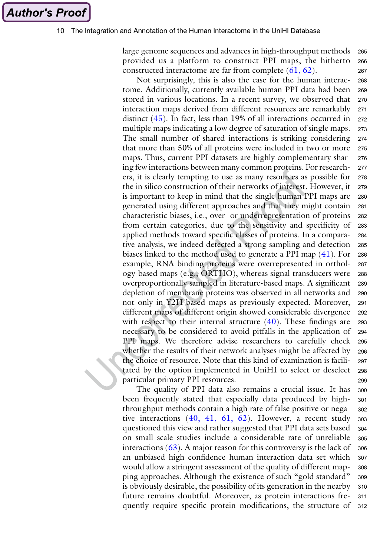- Author's Proof
	- 10 The Integration and Annotation of the Human Interactome in the UniHI Database

large genome sequences and advances in high-throughput methods provided us a platform to construct PPI maps, the hitherto constructed interactome are far from complete [\(61, 62\)](#page-13-0). 265 266 267

Not surprisingly, this is also the case for the human interactome. Additionally, currently available human PPI data had been stored in various locations. In a recent survey, we observed that interaction maps derived from different resources are remarkably distinct ([45\)](#page-12-0). In fact, less than 19% of all interactions occurred in multiple maps indicating a low degree of saturation of single maps. The small number of shared interactions is striking considering that more than 50% of all proteins were included in two or more maps. Thus, current PPI datasets are highly complementary sharing few interactions between many common proteins. For researchers, it is clearly tempting to use as many resources as possible for the in silico construction of their networks of interest. However, it is important to keep in mind that the single human PPI maps are generated using different approaches and that they might contain characteristic biases, i.e., over- or underrepresentation of proteins from certain categories, due to the sensitivity and specificity of applied methods toward specific classes of proteins. In a comparative analysis, we indeed detected a strong sampling and detection biases linked to the method used to generate a PPI map [\(41\)](#page-12-0). For example, RNA binding proteins were overrepresented in orthology-based maps (e.g., ORTHO), whereas signal transducers were overproportionally sampled in literature-based maps. A significant depletion of membrane proteins was observed in all networks and not only in Y2H-based maps as previously expected. Moreover, different maps of different origin showed considerable divergence with respect to their internal structure  $(40)$  $(40)$ . These findings are necessary to be considered to avoid pitfalls in the application of PPI maps. We therefore advise researchers to carefully check whether the results of their network analyses might be affected by the choice of resource. Note that this kind of examination is facilitated by the option implemented in UniHI to select or deselect particular primary PPI resources. 268 269 270 271 272 273 274 275 276 277 278 279 280 281 282 283 284 285 286 287 288 289 290 291 292 293 294 295 296 297 298 299

The quality of PPI data also remains a crucial issue. It has been frequently stated that especially data produced by highthroughput methods contain a high rate of false positive or negative interactions [\(40, 41,](#page-12-0) [61, 62](#page-13-0)). However, a recent study questioned this view and rather suggested that PPI data sets based on small scale studies include a considerable rate of unreliable interactions  $(63)$  $(63)$ . A major reason for this controversy is the lack of an unbiased high confidence human interaction data set which would allow a stringent assessment of the quality of different mapping approaches. Although the existence of such "gold standard" is obviously desirable, the possibility of its generation in the nearby future remains doubtful. Moreover, as protein interactions frequently require specific protein modifications, the structure of 300 301 302 303 304 305 306 307 308 309 310 311 312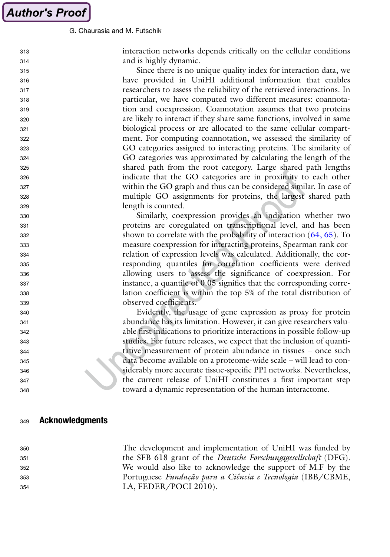G. Chaurasia and M. Futschik

interaction networks depends critically on the cellular conditions and is highly dynamic.

Since there is no unique quality index for interaction data, we have provided in UniHI additional information that enables researchers to assess the reliability of the retrieved interactions. In particular, we have computed two different measures: coannotation and coexpression. Coannotation assumes that two proteins are likely to interact if they share same functions, involved in same biological process or are allocated to the same cellular compartment. For computing coannotation, we assessed the similarity of GO categories assigned to interacting proteins. The similarity of GO categories was approximated by calculating the length of the shared path from the root category. Large shared path lengths indicate that the GO categories are in proximity to each other within the GO graph and thus can be considered similar. In case of multiple GO assignments for proteins, the largest shared path length is counted.

Similarly, coexpression provides an indication whether two proteins are coregulated on transcriptional level, and has been shown to correlate with the probability of interaction [\(64, 65](#page-13-0)). To measure coexpression for interacting proteins, Spearman rank correlation of expression levels was calculated. Additionally, the corresponding quantiles for correlation coefficients were derived allowing users to assess the significance of coexpression. For instance, a quantile of 0.05 signifies that the corresponding correlation coefficient is within the top 5% of the total distribution of observed coefficients.

Evidently, the usage of gene expression as proxy for protein abundance has its limitation. However, it can give researchers valuable first indications to prioritize interactions in possible follow-up studies. For future releases, we expect that the inclusion of quantitative measurement of protein abundance in tissues – once such data become available on a proteome-wide scale – will lead to considerably more accurate tissue-specific PPI networks. Nevertheless, the current release of UniHI constitutes a first important step toward a dynamic representation of the human interactome.

#### **Acknowledgments** 349

The development and implementation of UniHI was funded by the SFB 618 grant of the *Deutsche Forschungsgesellschaft* (DFG). We would also like to acknowledge the support of M.F by the Portuguese *Fundação para a Ciência e Tecnologia* (IBB/CBME, LA, FEDER/POCI 2010).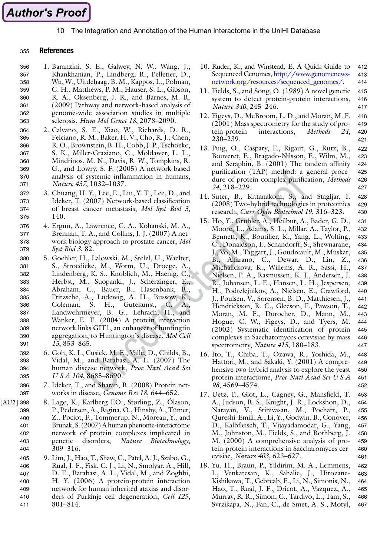#### <span id="page-10-0"></span>**References** 355

- 1. Baranzini, S. E., Galwey, N. W., Wang, J., Khankhanian, P., Lindberg, R., Pelletier, D., Wu, W., Uitdehaag, B. M., Kappos, L., Polman, C. H., Matthews, P. M., Hauser, S. L., Gibson, R. A., Oksenberg, J. R., and Barnes, M. R. (2009) Pathway and network-based analysis of genome-wide association studies in multiple sclerosis, *Hum Mol Genet 18*, 2078–2090. 356 357 358 359 360 361 362 363
- 2. Calvano, S. E., Xiao, W., Richards, D. R., Felciano, R. M., Baker, H. V., Cho, R. J., Chen, R. O., Brownstein, B. H., Cobb, J. P., Tschoeke, S. K., Miller-Graziano, C., Moldawer, L. L., Mindrinos, M. N., Davis, R. W., Tompkins, R. G., and Lowry, S. F. (2005) A network-based analysis of systemic inflammation in humans, *Nature 437*, 1032–1037. 364 365 366 367 368 369 370 371
- 3. Chuang, H. Y., Lee, E., Liu, Y. T., Lee, D., and Ideker, T. (2007) Network-based classification of breast cancer metastasis, *Mol Syst Biol 3*, 140. 372 373 374 375
- 4. Ergun, A., Lawrence, C. A., Kohanski, M. A., Brennan, T. A., and Collins, J. J. (2007) A network biology approach to prostate cancer, *Mol Syst Biol 3*, 82. 376 377 378 379
- 5. Goehler, H., Lalowski, M., Stelzl, U., Waelter, S., Stroedicke, M., Worm, U., Droege, A., Lindenberg, K. S., Knoblich, M., Haenig, C., Herbst, M., Suopanki, J., Scherzinger, E., Abraham, C., Bauer, B., Hasenbank, R., Fritzsche, A., Ludewig, A. H., Bussow, K., Coleman, S. H., Gutekunst, C. A., Landwehrmeyer, B. G., Lehrach, H., and Wanker, E. E. (2004) A protein interaction network links GIT1, an enhancer of huntingtin aggregation, to Huntington's disease, *Mol Cell 15*, 853–865. 380 381 382 383 384 385 386 387 388 389 390 391
- 6. Goh, K. I., Cusick, M. E., Valle, D., Childs, B., Vidal, M., and Barabasi, A. L. (2007) The human disease network, *Proc Natl Acad Sci U S A 104*, 8685–8690. 392 393 394 395
	- 7. Ideker, T., and Sharan, R. (2008) Protein networks in disease, *Genome Res 18*, 644–652.

396 397

- 8. Lage, K., Karlberg EO., Størling, Z., Ólason, P., Pedersen, A., Rigina, O., Hinsby, A., Tümer, Z., Pociot, F., Tommerup, N., Moreau, Y., and Brunak, S. (2007) A human phenome-interactome network of protein complexes implicated in genetic disorders, *Nature Biotechnology*, 309–316. [AU2] 398 399 400 401 402 403 404
	- 9. Lim, J., Hao, T., Shaw, C., Patel, A. J., Szabo, G., Rual, J. F., Fisk, C. J., Li, N., Smolyar, A., Hill, D. E., Barabasi, A. L., Vidal, M., and Zoghbi, H. Y. (2006) A protein-protein interaction network for human inherited ataxias and disorders of Purkinje cell degeneration, *Cell 125*, 801–814. 405 406 407 408 409 410 411
- 10. Ruder, K., and Winstead, E. A Quick Guide to Sequenced Genomes, http://www.genomenewsnetwork.org/resources/sequenced\_genomes/. 412 413 414
- 11. Fields, S., and Song, O. (1989) A novel genetic system to detect protein-protein interactions, *Nature 340*, 245–246. 415 416 417
- 12. Figeys, D., McBroom, L. D., and Moran, M. F. (2001) Mass spectrometry for the study of protein-protein interactions, *Methods 24*, 230–239. 418 419 420 421
- 13. Puig, O., Caspary, F., Rigaut, G., Rutz, B., Bouveret, E., Bragado-Nilsson, E., Wilm, M., and Seraphin, B. (2001) The tandem affinity purification (TAP) method: a general procedure of protein complex purification, *Methods 24*, 218–229. 422 423 424 425 426 427
- 14. Suter, B., Kittanakom, S., and Stagljar, I. (2008) Two-hybrid technologies in proteomics research, *Curr Opin Biotechnol 19*, 316–323. 428 429 430
- 15. Ho, Y., Gruhler, A., Heilbut, A., Bader, G. D., Moore, L., Adams, S. L., Millar, A., Taylor, P., Bennett, K., Boutilier, K., Yang, L., Wolting, C., Donaldson, I., Schandorff, S., Shewnarane, J., Vo, M., Taggart, J., Goudreault, M., Muskat, B., Alfarano, C., Dewar, D., Lin, Z., Michalickova, K., Willems, A. R., Sassi, H., Nielsen, P. A., Rasmussen, K. J., Andersen, J. R., Johansen, L. E., Hansen, L. H., Jespersen, H., Podtelejnikov, A., Nielsen, E., Crawford, J., Poulsen, V., Sorensen, B. D., Matthiesen, J., Hendrickson, R. C., Gleeson, F., Pawson, T., Moran, M. F., Durocher, D., Mann, M., Hogue, C. W., Figeys, D., and Tyers, M. (2002) Systematic identification of protein complexes in Saccharomyces cerevisiae by mass spectrometry, *Nature 415*, 180–183. 431 432 433 434 435 436 437 438 439 440 441 442 443 444 445 446 447
- 16. Ito, T., Chiba, T., Ozawa, R., Yoshida, M., Hattori, M., and Sakaki, Y. (2001) A comprehensive two-hybrid analysis to explore the yeast protein interactome, *Proc Natl Acad Sci U S A 98*, 4569–4574. 448 449 450 451 452
- 17. Uetz, P., Giot, L., Cagney, G., Mansfield, T. A., Judson, R. S., Knight, J. R., Lockshon, D., Narayan, V., Srinivasan, M., Pochart, P., Qureshi-Emili, A., Li, Y., Godwin, B., Conover, D., Kalbfleisch, T., Vijayadamodar, G., Yang, M., Johnston, M., Fields, S., and Rothberg, J. M. (2000) A comprehensive analysis of protein-protein interactions in Saccharomyces cerevisiae, *Nature 403*, 623–627. 453 454 455 456 457 458 459 460 461
- 18. Yu, H., Braun, P., Yildirim, M. A., Lemmens, I., Venkatesan, K., Sahalie, J., Hirozane-Kishikawa, T., Gebreab, F., Li, N., Simonis, N., Hao, T., Rual, J. F., Dricot, A., Vazquez, A., Murray, R. R., Simon, C., Tardivo, L., Tam, S., Svrzikapa, N., Fan, C., de Smet, A. S., Motyl, 462 463 464 465 466 467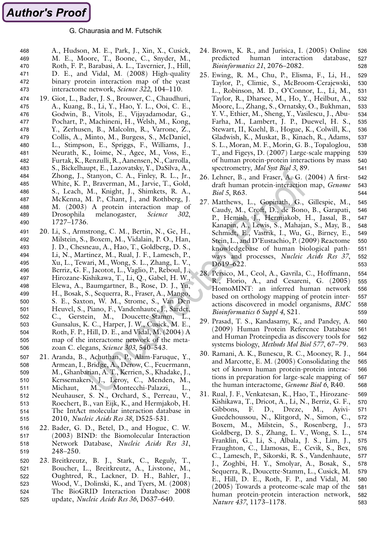### G. Chaurasia and M. Futschik

- <span id="page-11-0"></span>A., Hudson, M. E., Park, J., Xin, X., Cusick, M. E., Moore, T., Boone, C., Snyder, M., Roth, F. P., Barabasi, A. L., Tavernier, J., Hill, D. E., and Vidal, M. (2008) High-quality binary protein interaction map of the yeast interactome network, *Science 322*, 104–110. 468 469 470 471 472 473
- 19. Giot, L., Bader, J. S., Brouwer, C., Chaudhuri, A., Kuang, B., Li, Y., Hao, Y. L., Ooi, C. E., Godwin, B., Vitols, E., Vijayadamodar, G., Pochart, P., Machineni, H., Welsh, M., Kong, Y., Zerhusen, B., Malcolm, R., Varrone, Z., Collis, A., Minto, M., Burgess, S., McDaniel, L., Stimpson, E., Spriggs, F., Williams, J., Neurath, K., Ioime, N., Agee, M., Voss, E., Furtak, K., Renzulli, R., Aanensen, N., Carrolla, S., Bickelhaupt, E., Lazovatsky, Y., DaSilva, A., Zhong, J., Stanyon, C. A., Finley, R. L., Jr., White, K. P., Braverman, M., Jarvie, T., Gold, S., Leach, M., Knight, J., Shimkets, R. A., McKenna, M. P., Chant, J., and Rothberg, J. M. (2003) A protein interaction map of Drosophila melanogaster, *Science 302*, 1727–1736. 474 475 476 477 478 479 480 481 482 483 484 485 486 487 488 489 490
- 20. Li, S., Armstrong, C. M., Bertin, N., Ge, H., Milstein, S., Boxem, M., Vidalain, P. O., Han, J. D., Chesneau, A., Hao, T., Goldberg, D. S., Li, N., Martinez, M., Rual, J. F., Lamesch, P., Xu, L., Tewari, M., Wong, S. L., Zhang, L. V., Berriz, G. F., Jacotot, L., Vaglio, P., Reboul, J., Hirozane-Kishikawa, T., Li, Q., Gabel, H. W., Elewa, A., Baumgartner, B., Rose, D. J., Yu, H., Bosak, S., Sequerra, R., Fraser, A., Mango, S. E., Saxton, W. M., Strome, S., Van Den Heuvel, S., Piano, F., Vandenhaute, J., Sardet, C., Gerstein, M., Doucette-Stamm, L., Gunsalus, K. C., Harper, J. W., Cusick, M. E., Roth, F. P., Hill, D. E., and Vidal, M. (2004) A map of the interactome network of the metazoan C. elegans, *Science 303*, 540–543. 491 492 493 494 495 496 497 498 499 500 501 502 503 504 505 506
- 21. Aranda, B., Achuthan, P., Alam-Faruque, Y., Armean, I., Bridge, A., Derow, C., Feuermann, M., Ghanbarian, A. T., Kerrien, S., Khadake, J., Kerssemakers, J., Leroy, C., Menden, M., Michaut, M., Montecchi-Palazzi, L., Neuhauser, S. N., Orchard, S., Perreau, V., Roechert, B., van Eijk, K., and Hermjakob, H. The IntAct molecular interaction database in 2010, *Nucleic Acids Res 38*, D525-531. 507 508 509 510 511 512 513 514 515
- 22. Bader, G. D., Betel, D., and Hogue, C. W. (2003) BIND: the Biomolecular Interaction Network Database, *Nucleic Acids Res 31*, 248–250. 516 517 518 519
- 23. Breitkreutz, B. J., Stark, C., Reguly, T., Boucher, L., Breitkreutz, A., Livstone, M., Oughtred, R., Lackner, D. H., Bahler, J., Wood, V., Dolinski, K., and Tyers, M. (2008) The BioGRID Interaction Database: 2008 update, *Nucleic Acids Res 36*, D637–640. 520 521 522 523 524 525
- 24. Brown, K. R., and Jurisica, I. (2005) Online<br>predicted human interaction database, human interaction database, *Bioinformatics 21*, 2076–2082. 526 527 528
- 25. Ewing, R. M., Chu, P., Elisma, F., Li, H., Taylor, P., Climie, S., McBroom-Cerajewski, L., Robinson, M. D., O'Connor, L., Li, M., Taylor, R., Dharsee, M., Ho, Y., Heilbut, A., Moore, L., Zhang, S., Ornatsky, O., Bukhman, Y. V., Ethier, M., Sheng, Y., Vasilescu, J., Abu-Farha, M., Lambert, J. P., Duewel, H. S., Stewart, II, Kuehl, B., Hogue, K., Colwill, K., Gladwish, K., Muskat, B., Kinach, R., Adams, S. L., Moran, M. F., Morin, G. B., Topaloglou, T., and Figeys, D. (2007) Large-scale mapping of human protein-protein interactions by mass spectrometry, *Mol Syst Biol 3*, 89. 529 530 531 532 533 534 535 536 537 538 539 540 541
- 26. Lehner, B., and Fraser, A. G. (2004) A firstdraft human protein-interaction map, *Genome Biol 5*, R63. 542 543 544
- 27. Matthews, L., Gopinath, G., Gillespie, M., Caudy, M., Croft, D., de Bono, B., Garapati, P., Hemish, J., Hermjakob, H., Jassal, B., Kanapin, A., Lewis, S., Mahajan, S., May, B., Schmidt, E., Vastrik, I., Wu, G., Birney, E., Stein, L., and D'Eustachio, P. (2009) Reactome knowledgebase of human biological pathways and processes, *Nucleic Acids Res 37*, D619–622. 545 546 547 548 549 550 551 552 553
- 28. Persico, M., Ceol, A., Gavrila, C., Hoffmann, R., Florio, A., and Cesareni, G. (2005) HomoMINT: an inferred human network based on orthology mapping of protein interactions discovered in model organisms, *BMC Bioinformatics 6 Suppl 4*, S21. 554 555 556 557 558 559
- 29. Prasad, T. S., Kandasamy, K., and Pandey, A. (2009) Human Protein Reference Database and Human Proteinpedia as discovery tools for systems biology, *Methods Mol Biol 577*, 67–79. 560 561 562 563
- 30. Ramani, A. K., Bunescu, R. C., Mooney, R. J., and Marcotte, E. M. (2005) Consolidating the set of known human protein-protein interactions in preparation for large-scale mapping of the human interactome, *Genome Biol 6*, R40. 564 565 566 567 568
- 31. Rual, J. F., Venkatesan, K., Hao, T., Hirozane-Kishikawa, T., Dricot, A., Li, N., Berriz, G. F., Gibbons, F. D., Dreze, M., Ayivi-Guedehoussou, N., Klitgord, N., Simon, C., Boxem, M., Milstein, S., Rosenberg, J., Goldberg, D. S., Zhang, L. V., Wong, S. L., Franklin, G., Li, S., Albala, J. S., Lim, J., Fraughton, C., Llamosas, E., Cevik, S., Bex, C., Lamesch, P., Sikorski, R. S., Vandenhaute, J., Zoghbi, H. Y., Smolyar, A., Bosak, S., Sequerra, R., Doucette-Stamm, L., Cusick, M. E., Hill, D. E., Roth, F. P., and Vidal, M. (2005) Towards a proteome-scale map of the human protein-protein interaction network, *Nature 437*, 1173–1178. 569 570 571 572 573 574 575 576 577 578 579 580 581 582 583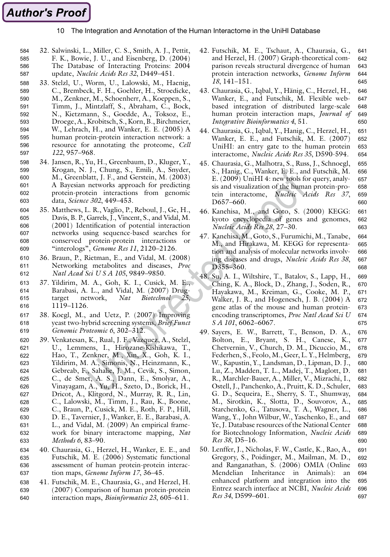- 10 The Integration and Annotation of the Human Interactome in the UniHI Database
- 32. Salwinski, L., Miller, C. S., Smith, A. J., Pettit, F. K., Bowie, J. U., and Eisenberg, D. (2004) The Database of Interacting Proteins: 2004 update, *Nucleic Acids Res 32*, D449–451. 584 585 586 587
- 33. Stelzl, U., Worm, U., Lalowski, M., Haenig, C., Brembeck, F. H., Goehler, H., Stroedicke, M., Zenkner, M., Schoenherr, A., Koeppen, S., Timm, J., Mintzlaff, S., Abraham, C., Bock, N., Kietzmann, S., Goedde, A., Toksoz, E., Droege, A., Krobitsch, S., Korn, B., Birchmeier, W., Lehrach, H., and Wanker, E. E. (2005) A human protein-protein interaction network: a resource for annotating the proteome, *Cell 122*, 957–968. 588 589 590 591 592 593 594 595 596 597
- 34. Jansen, R., Yu, H., Greenbaum, D., Kluger, Y., Krogan, N. J., Chung, S., Emili, A., Snyder, M., Greenblatt, J. F., and Gerstein, M. (2003) A Bayesian networks approach for predicting protein-protein interactions from genomic data, *Science 302*, 449–453. 598 599 600 601 602 603
- 35. Matthews, L. R., Vaglio, P., Reboul, J., Ge, H., Davis, B. P., Garrels, J., Vincent, S., and Vidal, M. (2001) Identification of potential interaction networks using sequence-based searches for conserved protein-protein interactions or "interologs", *Genome Res 11*, 2120–2126. 604 605 606 607 608 609
- 36. Braun, P., Rietman, E., and Vidal, M. (2008) Networking metabolites and diseases, *Proc Natl Acad Sci U S A 105*, 9849–9850. 610 611 612
- 37. Yildirim, M. A., Goh, K. I., Cusick, M. E., Barabasi, A. L., and Vidal, M. (2007) Drugtarget network, *Nat Biotechnol 25*, 1119–1126. 613 614 615 616
- 38. Koegl, M., and Uetz, P. (2007) Improving yeast two-hybrid screening systems, *Brief Funct Genomic Proteomic 6*, 302–312. 617 618 619
- 39. Venkatesan, K., Rual, J. F., Vazquez, A., Stelzl, U., Lemmens, I., Hirozane-Kishikawa, T., Hao, T., Zenkner, M., Xin, X., Goh, K. I., Yildirim, M. A., Simonis, N., Heinzmann, K., Gebreab, F., Sahalie, J. M., Cevik, S., Simon, C., de Smet, A. S., Dann, E., Smolyar, A., Vinayagam, A., Yu, H., Szeto, D., Borick, H., Dricot, A., Klitgord, N., Murray, R. R., Lin, C., Lalowski, M., Timm, J., Rau, K., Boone, C., Braun, P., Cusick, M. E., Roth, F. P., Hill, D. E., Tavernier, J., Wanker, E. E., Barabasi, A. L., and Vidal, M. (2009) An empirical framework for binary interactome mapping, *Nat Methods 6*, 83–90. 620 621 622 623 624 625 626 627 628 629 630 631 632 633
- 40. Chaurasia, G., Herzel, H., Wanker, E. E., and Futschik, M. E. (2006) Systematic functional assessment of human protein-protein interaction maps, *Genome Inform 17*, 36–45. 634 635 636 637
- 41. Futschik, M. E., Chaurasia, G., and Herzel, H. (2007) Comparison of human protein-protein interaction maps, *Bioinformatics 23*, 605–611. 638 639 640
- 42. Futschik, M. E., Tschaut, A., Chaurasia, G., and Herzel, H. (2007) Graph-theoretical comparison reveals structural divergence of human protein interaction networks, *Genome Inform 18*, 141–151. 641 642 643 644 645
- 43. Chaurasia, G., Iqbal, Y., Hänig, C., Herzel, H., Wanker, E., and Futschik, M. Flexible webbased integration of distributed large-scale human protein interaction maps, *Journal of Integrative Bioinformatics 4*, 51. 646 647 648 649 650
- 44. Chaurasia, G., Iqbal, Y., Hanig, C., Herzel, H., Wanker, E. E., and Futschik, M. E. (2007) UniHI: an entry gate to the human protein interactome, *Nucleic Acids Res 35*, D590-594. 651 652 653 654
- 45. Chaurasia, G., Malhotra, S., Russ, J., Schnoegl, S., Hanig, C., Wanker, E. E., and Futschik, M. E. (2009) UniHI 4: new tools for query, analysis and visualization of the human protein-protein interactome, *Nucleic Acids Res 37*, D657–660. 655 656 657 658 659 660
- 46. Kanehisa, M., and Goto, S. (2000) KEGG: kyoto encyclopedia of genes and genomes, *Nucleic Acids Res 28*, 27–30. 661 662 663
- 47. Kanehisa, M., Goto, S., Furumichi, M., Tanabe, M., and Hirakawa, M. KEGG for representation and analysis of molecular networks involving diseases and drugs, *Nucleic Acids Res 38*, D355–360. 664 665 666 667 668
- 48. Su, A. I., Wiltshire, T., Batalov, S., Lapp, H., Ching, K. A., Block, D., Zhang, J., Soden, R., Hayakawa, M., Kreiman, G., Cooke, M. P., Walker, J. R., and Hogenesch, J. B. (2004) A gene atlas of the mouse and human proteinencoding transcriptomes, *Proc Natl Acad Sci U S A 101*, 6062–6067. 669 670 671 672 673 674 675
- 49. Sayers, E. W., Barrett, T., Benson, D. A., Bolton, E., Bryant, S. H., Canese, K., Chetvernin, V., Church, D. M., Dicuccio, M., Federhen, S., Feolo, M., Geer, L. Y., Helmberg, W., Kapustin, Y., Landsman, D., Lipman, D. J., Lu, Z., Madden, T. L., Madej, T., Maglott, D. R., Marchler-Bauer, A., Miller, V., Mizrachi, I., Ostell, J., Panchenko, A., Pruitt, K. D., Schuler, G. D., Sequeira, E., Sherry, S. T., Shumway, M., Sirotkin, K., Slotta, D., Souvorov, A., Starchenko, G., Tatusova, T. A., Wagner, L., Wang, Y., John Wilbur, W., Yaschenko, E., and Ye, J. Database resources of the National Center for Biotechnology Information, *Nucleic Acids Res 38*, D5–16. 676 677 678 679 680 681 682 683 684 685 686 687 688 689 690
- 50. Lenffer, J., Nicholas, F. W., Castle, K., Rao, A., Gregory, S., Poidinger, M., Mailman, M. D., and Ranganathan, S. (2006) OMIA (Online Mendelian Inheritance in Animals): an enhanced platform and integration into the Entrez search interface at NCBI, *Nucleic Acids Res 34*, D599–601. 691 692 693 694 695 696 697

<span id="page-12-0"></span>**Author's Proof**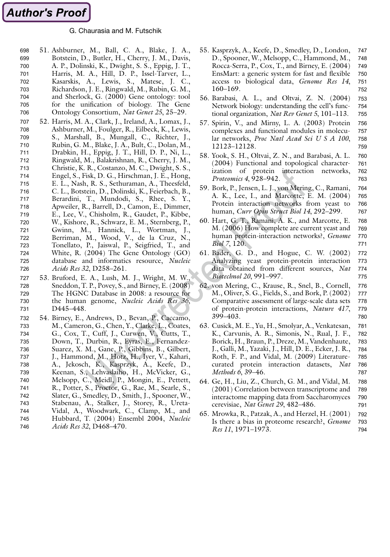### G. Chaurasia and M. Futschik

- <span id="page-13-0"></span>51. Ashburner, M., Ball, C. A., Blake, J. A., Botstein, D., Butler, H., Cherry, J. M., Davis, A. P., Dolinski, K., Dwight, S. S., Eppig, J. T., Harris, M. A., Hill, D. P., Issel-Tarver, L., Kasarskis, A., Lewis, S., Matese, J. C., Richardson, J. E., Ringwald, M., Rubin, G. M., and Sherlock, G. (2000) Gene ontology: tool for the unification of biology. The Gene Ontology Consortium, *Nat Genet 25*, 25–29. 698 699 700 701 702 703 704 705 706
- 52. Harris, M. A., Clark, J., Ireland, A., Lomax, J., Ashburner, M., Foulger, R., Eilbeck, K., Lewis, S., Marshall, B., Mungall, C., Richter, J., Rubin, G. M., Blake, J. A., Bult, C., Dolan, M., Drabkin, H., Eppig, J. T., Hill, D. P., Ni, L., Ringwald, M., Balakrishnan, R., Cherry, J. M., Christie, K. R., Costanzo, M. C., Dwight, S. S., Engel, S., Fisk, D. G., Hirschman, J. E., Hong, E. L., Nash, R. S., Sethuraman, A., Theesfeld, C. L., Botstein, D., Dolinski, K., Feierbach, B., Berardini, T., Mundodi, S., Rhee, S. Y., Apweiler, R., Barrell, D., Camon, E., Dimmer, E., Lee, V., Chisholm, R., Gaudet, P., Kibbe, W., Kishore, R., Schwarz, E. M., Sternberg, P., Gwinn, M., Hannick, L., Wortman, J., Berriman, M., Wood, V., de la Cruz, N., Tonellato, P., Jaiswal, P., Seigfried, T., and White, R. (2004) The Gene Ontology (GO) database and informatics resource, *Nucleic*  707 708 709 710 711 712 713 714 715 716 717 718 719 720 721 722 723 724 725
- *Acids Res 32*, D258–261. 53. Bruford, E. A., Lush, M. J., Wright, M. W., 726 727
- Sneddon, T. P., Povey, S., and Birney, E. (2008) The HGNC Database in 2008: a resource for the human genome, *Nucleic Acids Res 36*, D445–448. 728 729 730 731
- 54. Birney, E., Andrews, D., Bevan, P., Caccamo, M., Cameron, G., Chen, Y., Clarke, L., Coates, G., Cox, T., Cuff, J., Curwen, V., Cutts, T., Down, T., Durbin, R., Eyras, E., Fernandez-Suarez, X. M., Gane, P., Gibbins, B., Gilbert, J., Hammond, M., Hotz, H., Iyer, V., Kahari, A., Jekosch, K., Kasprzyk, A., Keefe, D., Keenan, S., Lehvaslaiho, H., McVicker, G., Melsopp, C., Meidl, P., Mongin, E., Pettett, R., Potter, S., Proctor, G., Rae, M., Searle, S., Slater, G., Smedley, D., Smith, J., Spooner, W., Stabenau, A., Stalker, J., Storey, R., Ureta-Vidal, A., Woodwark, C., Clamp, M., and Hubbard, T. (2004) Ensembl 2004, *Nucleic*  732 733 734 735 736 737 738 739 740 741 742 743 744 745
- *Acids Res 32*, D468–470. 746
- 55. Kasprzyk, A., Keefe, D., Smedley, D., London, D., Spooner, W., Melsopp, C., Hammond, M., Rocca-Serra, P., Cox, T., and Birney, E. (2004) EnsMart: a generic system for fast and flexible access to biological data, *Genome Res 14*, 160–169. 747 748 749 750 751 752
- 56. Barabasi, A. L., and Oltvai, Z. N. (2004) Network biology: understanding the cell's functional organization, *Nat Rev Genet 5*, 101–113. 753 754 755
- 57. Spirin, V., and Mirny, L. A. (2003) Protein complexes and functional modules in molecular networks, *Proc Natl Acad Sci U S A 100*, 12123–12128. 756 757 758 759
- 58. Yook, S. H., Oltvai, Z. N., and Barabasi, A. L. (2004) Functional and topological characterization of protein interaction networks, *Proteomics 4*, 928–942. 760 761 762 763
- 59. Bork, P., Jensen, L. J., von Mering, C., Ramani, A. K., Lee, I., and Marcotte, E. M. (2004) Protein interaction networks from yeast to human, *Curr Opin Struct Biol 14*, 292–299. 764 765 766 767
- 60. Hart, G. T., Ramani, A. K., and Marcotte, E. M. (2006) How complete are current yeast and human protein-interaction networks?, *Genome Biol 7*, 120. 768 769 770 771
- 61. Bader, G. D., and Hogue, C. W. (2002) Analyzing yeast protein-protein interaction data obtained from different sources, *Nat Biotechnol 20*, 991–997. 772 773 774 775
- 62. von Mering, C., Krause, R., Snel, B., Cornell, M., Oliver, S. G., Fields, S., and Bork, P. (2002) Comparative assessment of large-scale data sets of protein-protein interactions, *Nature 417*, 399–403. 776 777 778 779 780
- 63. Cusick, M. E., Yu, H., Smolyar, A., Venkatesan, K., Carvunis, A. R., Simonis, N., Rual, J. F., Borick, H., Braun, P., Dreze, M., Vandenhaute, J., Galli, M., Yazaki, J., Hill, D. E., Ecker, J. R., Roth, F. P., and Vidal, M. (2009) Literaturecurated protein interaction datasets, *Nat Methods 6*, 39–46. 781 782 783 784 785 786 787
- 64. Ge, H., Liu, Z., Church, G. M., and Vidal, M. (2001) Correlation between transcriptome and interactome mapping data from Saccharomyces cerevisiae, *Nat Genet 29*, 482–486. 788 789 790 791
- 65. Mrowka, R., Patzak, A., and Herzel, H. (2001) Is there a bias in proteome research?, *Genome Res 11*, 1971–1973. 792 793 794